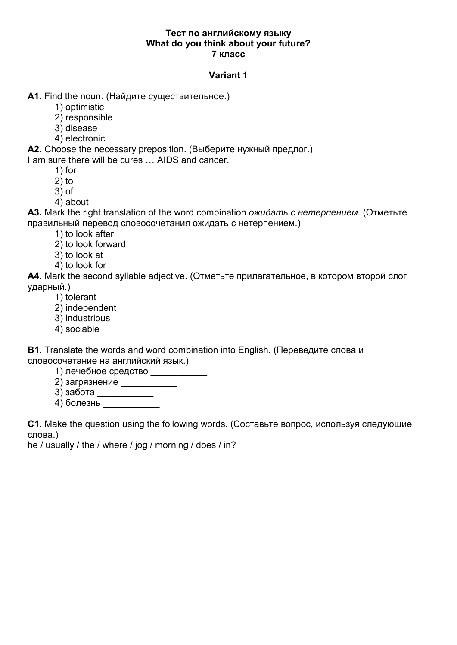## Тест по английскому языку What do you think about your future? 7 класс

# **Variant 1**

A1. Find the noun. (Найдите существительное.)

- 1) optimistic
- 2) responsible
- 3) disease
- 4) electronic

A2. Choose the necessary preposition. (Выберите нужный предлог.)

I am sure there will be cures ... AIDS and cancer.

- $1)$  for
- $2)$  to
- $3)$  of
- 4) about

A3. Mark the right translation of the word combination ожидать с нетерпением. (Отметьте правильный перевод словосочетания ожидать с нетерпением.)

- 1) to look after
- 2) to look forward
- 3) to look at
- 4) to look for

A4. Mark the second syllable adjective. (Отметьте прилагательное, в котором второй слог ударный.)

- 1) tolerant
- 2) independent
- 3) industrious
- 4) sociable

**B1.** Translate the words and word combination into English. (Переведите слова и словосочетание на английский язык.)

- 1) лечебное средство
- $2)$  загрязнение \_\_\_\_\_\_\_\_\_\_\_\_\_
- 
- 4) болезнь

C1. Make the question using the following words. (Составьте вопрос, используя следующие слова.)

he / usually / the / where / jog / morning / does / in?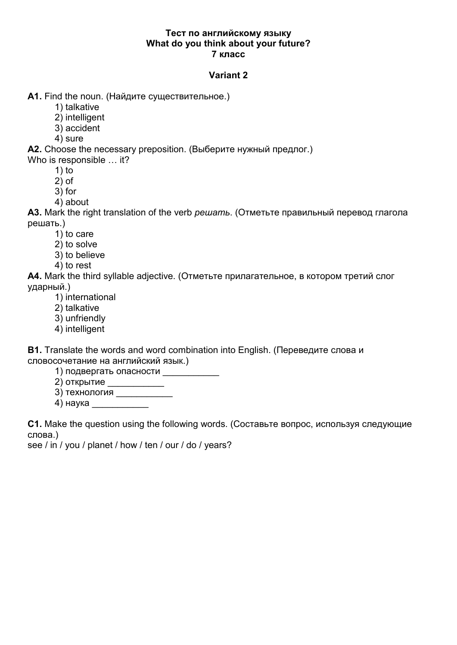## Тест по английскому языку What do you think about your future? 7 класс

## Variant 2

A1. Find the noun. (Найдите существительное.)

- 1) talkative
- 2) intelligent
- 3) accident
- 4) sure

A2. Choose the necessary preposition. (Выберите нужный предлог.)

Who is responsible ... it?

- $1)$  to
- $2)$  of
- $3)$  for
- 4) about

A3. Mark the right translation of the verb *решать*. (Отметьте правильный перевод глагола решать.)

- 1) to care
- 2) to solve
- 3) to believe
- 4) to rest

A4. Mark the third syllable adjective. (Отметьте прилагательное, в котором третий слог ударный.)

- 1) international
- 2) talkative
- 3) unfriendly
- 4) intelligent

**B1.** Translate the words and word combination into English. (Переведите слова и словосочетание на английский язык.)

1) подвергать опасности

 $2$ ) открытие

- 
- 4) наука и постана на селото на селото на селото на селото на селото на селото на селото на селото на селото н

C1. Make the question using the following words. (Составьте вопрос, используя следующие слова.)

see / in / you / planet / how / ten / our / do / years?